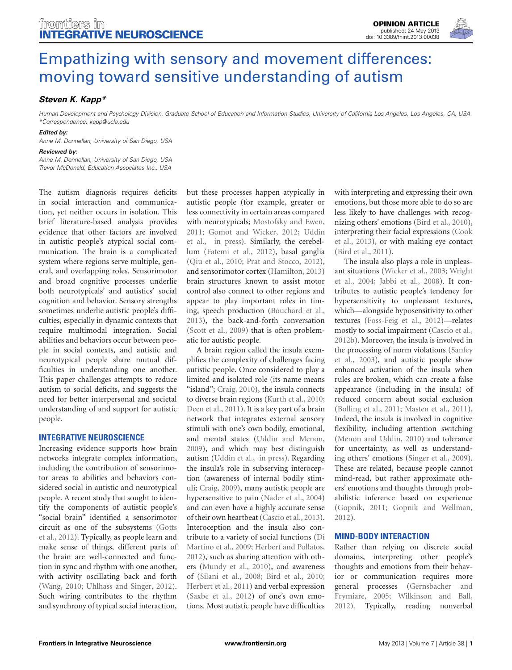

# [Empathizing with sensory and movement differences:](http://www.frontiersin.org/Integrative_Neuroscience/10.3389/fnint.2013.00038/full) moving toward sensitive understanding of autism

# *[Steven K. Kapp\\*](http://www.frontiersin.org/Community/WhosWhoActivity.aspx?sname=StevenKapp&UID=58063)*

*Human Development and Psychology Division, Graduate School of Education and Information Studies, University of California Los Angeles, Los Angeles, CA, USA \*Correspondence: kapp@ucla.edu*

#### *Edited by:*

*Anne M. Donnellan, University of San Diego, USA*

#### *Reviewed by:*

*Anne M. Donnellan, University of San Diego, USA Trevor McDonald, Education Associates Inc., USA*

The autism diagnosis requires deficits in social interaction and communication, yet neither occurs in isolation. This brief literature-based analysis provides evidence that other factors are involved in autistic people's atypical social communication. The brain is a complicated system where regions serve multiple, general, and overlapping roles. Sensorimotor and broad cognitive processes underlie both neurotypicals' and autistics' social cognition and behavior. Sensory strengths sometimes underlie autistic people's difficulties, especially in dynamic contexts that require multimodal integration. Social abilities and behaviors occur between people in social contexts, and autistic and neurotypical people share mutual difficulties in understanding one another. This paper challenges attempts to reduce autism to social deficits, and suggests the need for better interpersonal and societal understanding of and support for autistic people.

## **INTEGRATIVE NEUROSCIENCE**

Increasing evidence supports how brain networks integrate complex information, including the contribution of sensorimotor areas to abilities and behaviors considered social in autistic and neurotypical people. A recent study that sought to identify the components of autistic people's "social brain" identified a sensorimotor circ[uit as one of the subsystems \(](#page-3-0)Gotts et al., [2012](#page-3-0)). Typically, as people learn and make sense of things, different parts of the brain are well-connected and function in sync and rhythm with one another, with activity oscillating back and forth [\(Wang](#page-5-0), [2010](#page-5-0); [Uhlhass and Singer](#page-5-1), [2012](#page-5-1)). Such wiring contributes to the rhythm and synchrony of typical social interaction,

but these processes happen atypically in autistic people (for example, greater or less connectivity in certain areas compared with neurotypicals; [Mostofsky and Ewen,](#page-4-0) [2011](#page-4-0); [Gomot and Wicker](#page-3-1)[,](#page-5-2) [2012](#page-3-1)[;](#page-5-2) Uddin et al., [in press](#page-5-2)). Similarly, the cerebellum [\(Fatemi et al., 2012\)](#page-3-2), basal ganglia [\(Qiu et al., 2010](#page-4-1); [Prat and Stocco](#page-4-2), [2012](#page-4-2)), and sensorimotor cortex [\(Hamilton, 2013](#page-3-3)) brain structures known to assist motor control also connect to other regions and appear to play important roles in timing, speech production [\(Bouchard et al.,](#page-2-0) [2013](#page-2-0)), the back-and-forth conversation [\(Scott et al., 2009](#page-4-3)) that is often problematic for autistic people.

A brain region called the insula exemplifies the complexity of challenges facing autistic people. Once considered to play a limited and isolated role (its name means "island"; [Craig, 2010](#page-3-4)), the insula connects to diverse brain regions [\(Kurth et al.](#page-4-4), [2010;](#page-4-4) [Deen et al.](#page-3-5), [2011\)](#page-3-5). It is a key part of a brain network that integrates external sensory stimuli with one's own bodily, emotional, and mental states [\(Uddin and Menon,](#page-5-3) [2009](#page-5-3)), and which may best distinguish autism [\(Uddin et al.](#page-5-2), [in press\)](#page-5-2). Regarding the insula's role in subserving interoception (awareness of internal bodily stimuli; [Craig, 2009\)](#page-3-6), many autistic people are hypersensitive to pain [\(Nader et al.](#page-4-5), [2004](#page-4-5)) and can even have a highly accurate sense of their own heartbeat [\(Cascio et al., 2013](#page-2-1)). Interoception and the insula also contribute to a v[ariety of social functions \(](#page-3-7)Di Martino et al., [2009](#page-3-7); [Herbert and Pollatos,](#page-3-8) [2012](#page-3-8)), such as sharing attention with others [\(Mundy et al.](#page-4-6), [2010\)](#page-4-6), and awareness of [\(Silani et al.](#page-4-7), [2008](#page-4-7); [Bird et al., 2010;](#page-2-2) [Herbert et al., 2011](#page-3-9)) and verbal expression [\(Saxbe et al., 2012\)](#page-4-8) of one's own emotions. Most autistic people have difficulties

with interpreting and expressing their own emotions, but those more able to do so are less likely to have challenges with recognizing others' emotions [\(Bird et al.](#page-2-2), [2010](#page-2-2)), inter[preting their facial expressions \(](#page-3-10)Cook et al., [2013](#page-3-10)), or with making eye contact [\(Bird et al.](#page-2-3), [2011\)](#page-2-3).

The insula also plays a role in unpleasant si[tuations](#page-5-5) [\(Wicker et al.](#page-5-4)[,](#page-5-5) [2003](#page-5-4)[;](#page-5-5) Wright et al., [2004;](#page-5-5) [Jabbi et al.](#page-3-11), [2008](#page-3-11)). It contributes to autistic people's tendency for hypersensitivity to unpleasant textures, which—alongside hyposensitivity to other textures [\(Foss-Feig et al., 2012\)](#page-3-12)—relates mostly to social impairment [\(Cascio et al.,](#page-2-4) [2012b](#page-2-4)). Moreover, the insula is involved in the p[rocessing](#page-4-9) [of](#page-4-9) [norm](#page-4-9) [violations](#page-4-9) [\(](#page-4-9)Sanfey et al., [2003](#page-4-9)), and autistic people show enhanced activation of the insula when rules are broken, which can create a false appearance (including in the insula) of reduced concern about social exclusion [\(Bolling et al.](#page-2-5), [2011](#page-2-5); [Masten et al.](#page-4-10), [2011](#page-4-10)). Indeed, the insula is involved in cognitive flexibility, including attention switching [\(Menon and Uddin, 2010](#page-4-11)) and tolerance for uncertainty, as well as understanding others' emotions [\(Singer et al., 2009](#page-4-12)). These are related, because people cannot mind-read, but rather approximate others' emotions and thoughts through probabilistic inference based on experience [\(Gopnik, 2011](#page-3-13); [Gopnik and Wellman,](#page-3-14) [2012](#page-3-14)).

## **MIND-BODY INTERACTION**

Rather than relying on discrete social domains, interpreting other people's thoughts and emotions from their behavior or communication requires more general [processes](#page-3-15) [\(](#page-3-15)Gernsbacher and Frymiare, [2005;](#page-3-15) [Wilkinson and Ball,](#page-5-6) [2012](#page-5-6)). Typically, reading nonverbal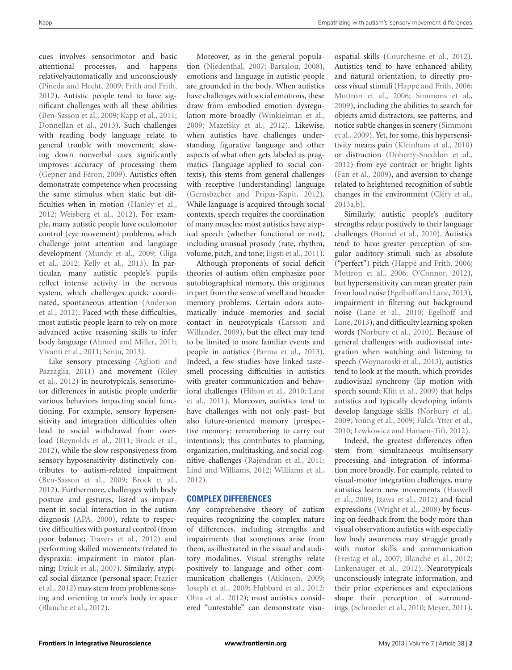cues involves sensorimotor and basic attentional processes, and happens relativelyautomatically and unconsciously [\(Pineda and Hecht](#page-4-13), [2009;](#page-4-13) [Frith and Frith](#page-3-16), [2012](#page-3-16)). Autistic people tend to have significant challenges with all these abilities [\(Ben-Sasson et al., 2009;](#page-2-6) [Kapp et al., 2011](#page-3-17); [Donnellan et al., 2013](#page-3-18)). Such challenges with reading body language relate to general trouble with movement; slowing down nonverbal cues significantly improves accuracy of processing them [\(Gepner and Féron, 2009](#page-3-19)). Autistics often demonstrate competence when processing the same stimulus when static but difficulties when in motion [\(Hanley et al.,](#page-3-20) [2012](#page-3-20); [Weisberg et al.](#page-5-7), [2012](#page-5-7)). For example, many autistic people have oculomotor control (eye movement) problems, which challenge joint attention and language devel[opment](#page-3-21) [\(Mundy et al.](#page-4-14)[,](#page-3-21) [2009](#page-4-14)[;](#page-3-21) Gliga et al., [2012;](#page-3-21) [Kelly et al., 2013\)](#page-4-15). In particular, many autistic people's pupils reflect intense activity in the nervous system, which challenges quick, coordinate[d,](#page-2-7) [spontaneous](#page-2-7) [attention](#page-2-7) [\(](#page-2-7)Anderson et al., [2012](#page-2-7)). Faced with these difficulties, most autistic people learn to rely on more advanced active reasoning skills to infer body language [\(Ahmed and Miller, 2011](#page-2-8); [Vivanti et al.](#page-5-8), [2011;](#page-5-8) [Senju](#page-4-16), [2013](#page-4-16)).

Like [sensory processing \(](#page-2-9)Aglioti and Pazz[aglia,](#page-4-17) [2011](#page-2-9)[\) and movement \(](#page-4-17)Riley et al., [2012](#page-4-17)) in neurotypicals, sensorimotor differences in autistic people underlie various behaviors impacting social functioning. For example, sensory hypersensitivity and integration difficulties often lead to social withdrawal from overload [\(Reynolds et al.](#page-4-18), [2011;](#page-4-18) [Brock et al.,](#page-2-10) [2012](#page-2-10)), while the slow responsiveness from sensory hyposensitivity distinctively contributes to autism-related impairment [\(Ben-Sasson et al., 2009;](#page-2-6) [Brock et al.,](#page-2-10) [2012](#page-2-10)). Furthermore, challenges with body posture and gestures, listed as impairment in social interaction in the autism diagnosis [\(APA, 2000\)](#page-2-11), relate to respective difficulties with postural control (from poor balance; [Travers et al., 2012\)](#page-5-9) and performing skilled movements (related to dyspraxia: impairment in motor planning; [Dziuk et al.](#page-3-22), [2007\)](#page-3-22). Similarly, atypical s[ocial distance \(personal space;](#page-3-23) Frazier et al., [2012](#page-3-23)) may stem from problems sensing and orienting to one's body in space [\(Blanche et al.](#page-2-12), [2012\)](#page-2-12).

Moreover, as in the general population [\(Niedenthal](#page-4-19), [2007](#page-4-19); [Barsalou](#page-2-13), [2008\)](#page-2-13), emotions and language in autistic people are grounded in the body. When autistics have challenges with social emotions, these draw from embodied emotion dysregulation more broadly [\(Winkielman et al.,](#page-5-10) [2009](#page-5-10); [Mazefsky et al., 2012\)](#page-4-20). Likewise, when autistics have challenges understanding figurative language and other aspects of what often gets labeled as pragmatics (language applied to social contexts), this stems from general challenges with receptive (understanding) language [\(Gernsbacher and Pripas-Kapit, 2012\)](#page-3-24). While language is acquired through social contexts, speech requires the coordination of many muscles; most autistics have atypical speech (whether functional or not), including unusual prosody (rate, rhythm, volume, pitch, and tone; [Eigsti et al., 2011\)](#page-3-25).

Although proponents of social deficit theories of autism often emphasize poor autobiographical memory, this originates in part from the sense of smell and broader memory problems. Certain odors automatically induce memories and social contact i[n](#page-4-21) [neurotypicals](#page-4-21) [\(](#page-4-21)Larsson and Willander, [2009](#page-4-21)), but the effect may tend to be limited to more familiar events and people in autistics [\(Parma et al.](#page-4-22), [2013\)](#page-4-22). Indeed, a few studies have linked tastesmell processing difficulties in autistics with greater communication and behavioral [challenges](#page-4-23) [\(Hilton et al.](#page-3-26)[,](#page-4-23) [2010](#page-3-26)[;](#page-4-23) Lane et al., [2011](#page-4-23)). Moreover, autistics tend to have challenges with not only past- but also future-oriented memory (prospective memory: remembering to carry out intentions); this contributes to planning, organization, multitasking, and social cognitive challenges [\(Rajendran et al.](#page-4-24), [2011;](#page-4-24) [Lind and Williams, 2012;](#page-4-25) [Williams et al.,](#page-5-11) [2012](#page-5-11)).

# **COMPLEX DIFFERENCES**

Any comprehensive theory of autism requires recognizing the complex nature of differences, including strengths and impairments that sometimes arise from them, as illustrated in the visual and auditory modalities. Visual strengths relate positively to language and other communication challenges [\(Atkinson](#page-2-14), [2009;](#page-2-14) [Joseph et al.](#page-3-27), [2009;](#page-3-27) [Hubbard et al., 2012;](#page-3-28) [Ohta et al.](#page-4-26), [2012](#page-4-26)); most autistics considered "untestable" can demonstrate visuospatial skills [\(Courchesne et al.](#page-3-29), [2012\)](#page-3-29). Autistics tend to have enhanced ability, and natural orientation, to directly process visual stimuli [\(Happé and Frith, 2006;](#page-3-30) [Mottron et al.](#page-4-27), [2006;](#page-4-27) [Simmons et al.,](#page-4-28) [2009](#page-4-28)), including the abilities to search for objects amid distractors, see patterns, and noti[ce subtle changes in scenery \(](#page-4-28)Simmons et al., [2009](#page-4-28)). Yet, for some, this hypersensitivity means pain [\(Kleinhans et al., 2010](#page-4-29)) or distraction [\(Doherty-Sneddon et al.,](#page-3-31) [2012](#page-3-31)) from eye contract or bright lights [\(Fan et al.](#page-3-32), [2009\)](#page-3-32), and aversion to change related to heightened recognition of subtle changes in the environment [\(Cléry et al.,](#page-3-33) [2013a](#page-3-33)[,b\)](#page-3-34).

Similarly, autistic people's auditory strengths relate positively to their language challenges [\(Bonnel et al.](#page-2-15), [2010](#page-2-15)). Autistics tend to have greater perception of singular auditory stimuli such as absolute ("perfect") pitch [\(Happé and Frith, 2006;](#page-3-30) [Mottron et al.](#page-4-27), [2006](#page-4-27); [O'Connor](#page-4-30), [2012\)](#page-4-30), but hypersensitivity can mean greater pain from loud noise [\(Egelhoff and Lane, 2013\)](#page-3-35), impairment in filtering out background nois[e](#page-3-35) [\(Lane et al.](#page-4-31)[,](#page-3-35) [2010](#page-4-31)[;](#page-3-35) Egelhoff and Lane, [2013\)](#page-3-35), and difficulty learning spoken words [\(Norbury et al.](#page-4-32), [2010](#page-4-32)). Because of general challenges with audiovisual integration when watching and listening to speech [\(Woynaroski et al.](#page-5-12), [2013](#page-5-12)), autistics tend to look at the mouth, which provides audiovisual synchrony (lip motion with speech sound; [Klin et al.](#page-4-33), [2009](#page-4-33)) that helps autistics and typically developing infants develop language skills [\(Norbury et al.,](#page-4-34) [2009](#page-4-34); [Young et al.](#page-5-13), [2009](#page-5-13); [Falck-Ytter et al.,](#page-3-36) [2010](#page-3-36); [Lewkowicz and Hansen-Tift](#page-4-35), [2012](#page-4-35)).

Indeed, the greatest differences often stem from simultaneous multisensory processing and integration of information more broadly. For example, related to visual-motor integration challenges, many autis[tics learn new movements \(](#page-3-37)Haswell et al., [2009;](#page-3-37) [Izawa et al., 2012](#page-3-38)) and facial expressions [\(Wright et al., 2008\)](#page-5-14) by focusing on feedback from the body more than visual observation; autistics with especially low body awareness may struggle greatly with motor skills and communication [\(Freitag et al.](#page-3-39), [2007](#page-3-39); [Blanche et al., 2012;](#page-2-12) [Linkenauger et al.](#page-4-36), [2012](#page-4-36)). Neurotypicals unconsciously integrate information, and their prior experiences and expectations shape their perception of surroundings [\(Schroeder et al.](#page-4-37), [2010;](#page-4-37) [Meyer](#page-4-38), [2011\)](#page-4-38).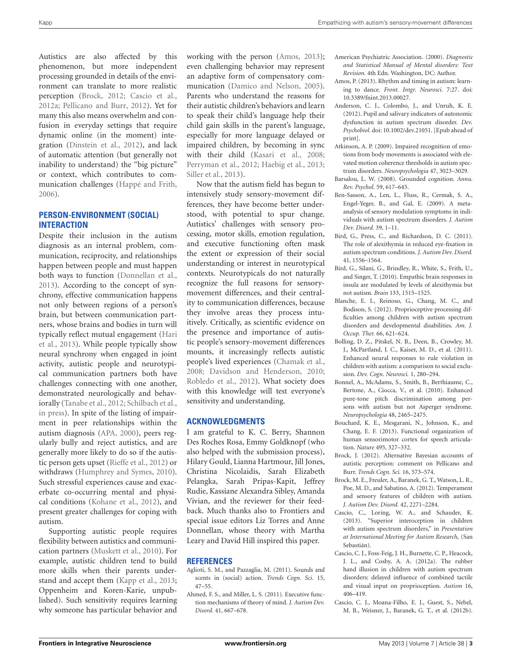Autistics are also affected by this phenomenon, but more independent processing grounded in details of the environment can translate to more realistic perception [\(Brock, 2012;](#page-2-16) [Cascio et al.,](#page-2-17) [2012a;](#page-2-17) [Pellicano and Burr, 2012\)](#page-4-39). Yet for many this also means overwhelm and confusion in everyday settings that require dynamic online (in the moment) integration [\(Dinstein et al.](#page-3-40), [2012](#page-3-40)), and lack of automatic attention (but generally not inability to understand) the "big picture" or context, which contributes to communication challenges [\(Happé and Frith,](#page-3-30) [2006](#page-3-30)).

# **PERSON-ENVIRONMENT (SOCIAL) INTERACTION**

Despite their inclusion in the autism diagnosis as an internal problem, communication, reciprocity, and relationships happen between people and must happen both ways to function [\(Donnellan et al.,](#page-3-18) [2013](#page-3-18)). According to the concept of synchrony, effective communication happens not only between regions of a person's brain, but between communication partners, whose brains and bodies in turn will typi[cally](#page-3-41) [reflect](#page-3-41) [mutual](#page-3-41) [engagement](#page-3-41) [\(](#page-3-41)Hari et al., [2013\)](#page-3-41). While people typically show neural synchrony when engaged in joint activity, autistic people and neurotypical communication partners both have challenges connecting with one another, demonstrated neurologically and behaviorally [\(Tanabe et al.](#page-5-15), [2012;](#page-5-15) [Schilbach et al.,](#page-4-40) [in press\)](#page-4-40). In spite of the listing of impairment in peer relationships within the autism diagnosis [\(APA, 2000\)](#page-2-11), peers regularly bully and reject autistics, and are generally more likely to do so if the autistic person gets upset [\(Rieffe et al.](#page-4-41), [2012\)](#page-4-41) or withdraws [\(Humphrey and Symes, 2010](#page-3-42)). Such stressful experiences cause and exacerbate co-occurring mental and physical conditions [\(Kohane et al.](#page-4-42), [2012](#page-4-42)), and present greater challenges for coping with autism.

Supporting autistic people requires flexibility between autistics and communication partners [\(Muskett et al.](#page-4-43), [2010](#page-4-43)). For example, autistic children tend to build more skills when their parents understand and accept them [\(Kapp et al.](#page-3-43), [2013;](#page-3-43) Oppenheim and Koren-Karie, unpublished). Such sensitivity requires learning why someone has particular behavior and

working with the person [\(Amos, 2013](#page-2-18)); even challenging behavior may represent an adaptive form of compensatory communication [\(Damico and Nelson, 2005](#page-3-44)). Parents who understand the reasons for their autistic children's behaviors and learn to speak their child's language help their child gain skills in the parent's language, especially for more language delayed or impaired children, by becoming in sync with their child [\(Kasari et al.](#page-4-44), [2008;](#page-4-44) [Perryman et al.](#page-4-45), [2012](#page-4-45); [Haebig et al.](#page-3-45), [2013;](#page-3-45) [Siller et al., 2013](#page-4-46)).

Now that the autism field has begun to intensively study sensory-movement differences, they have become better understood, with potential to spur change. Autistics' challenges with sensory processing, motor skills, emotion regulation, and executive functioning often mask the extent or expression of their social understanding or interest in neurotypical contexts. Neurotypicals do not naturally recognize the full reasons for sensorymovement differences, and their centrality to communication differences, because they involve areas they process intuitively. Critically, as scientific evidence on the presence and importance of autistic people's sensory-movement differences mounts, it increasingly reflects autistic people's lived experiences [\(Chamak et al.,](#page-3-46) [2008](#page-3-46); [Davidson and Henderson, 2010;](#page-3-47) [Robledo et al.](#page-4-47), [2012\)](#page-4-47). What society does with this knowledge will test everyone's sensitivity and understanding.

## **ACKNOWLEDGMENTS**

I am grateful to K. C. Berry, Shannon Des Roches Rosa, Emmy Goldknopf (who also helped with the submission process), Hilary Gould, Lianna Hartmour, Jill Jones, Christina Nicolaidis, Sarah Elizabeth Pelangka, Sarah Pripas-Kapit, Jeffrey Rudie, Kassiane Alexandra Sibley, Amanda Vivian, and the reviewer for their feedback. Much thanks also to Frontiers and special issue editors Liz Torres and Anne Donnellan, whose theory with Martha Leary and David Hill inspired this paper.

#### **REFERENCES**

- <span id="page-2-9"></span>Aglioti, S. M., and Pazzaglia, M. (2011). Sounds and scents in (social) action. *Trends Cogn. Sci.* 15, 47–55.
- <span id="page-2-8"></span>Ahmed, F. S., and Miller, L. S. (2011). Executive function mechanisms of theory of mind. *J. Autism Dev. Disord.* 41, 667–678.
- <span id="page-2-11"></span>American Psychiatric Association. (2000). *Diagnostic and Statistical Manual of Mental disorders: Text Revision.* 4th Edn. Washington, DC: Author.
- <span id="page-2-18"></span>Amos, P. (2013). Rhythm and timing in autism: learning to dance. *Front. Intgr. Neurosci.* 7:27. doi: 10.3389/fnint.2013.00027.
- <span id="page-2-7"></span>Anderson, C. J., Colombo, J., and Unruh, K. E. (2012). Pupil and salivary indicators of autonomic dysfunction in autism spectrum disorder. *Dev. Psychobiol.* doi: 10.1002/dev.21051. [Epub ahead of print].
- <span id="page-2-14"></span>Atkinson, A. P. (2009). Impaired recognition of emotions from body movements is associated with elevated motion coherence thresholds in autism spectrum disorders. *Neuropsychologia* 47, 3023–3029.
- <span id="page-2-13"></span>Barsalou, L. W. (2008). Grounded cognition. *Annu. Rev. Psychol.* 59, 617–645.
- <span id="page-2-6"></span>Ben-Sasson, A., Len, L., Fluss, R., Cermak, S. A., Engel-Yeger, B., and Gal, E. (2009). A metaanalysis of sensory modulation symptoms in individuals with autism spectrum disorders. *J. Autism Dev. Disord.* 39, 1–11.
- <span id="page-2-3"></span>Bird, G., Press, C., and Richardson, D. C. (2011). The role of alexithymia in reduced eye-fixation in autism spectrum conditions. *J. Autism Dev. Disord.* 41, 1556–1564.
- <span id="page-2-2"></span>Bird, G., Silani, G., Brindley, R., White, S., Frith, U., and Singer, T. (2010). Empathic brain responses in insula are modulated by levels of alexithymia but not autism. *Brain* 133, 1515–1525.
- <span id="page-2-12"></span>Blanche, E. I., Reinoso, G., Chang, M. C., and Bodison, S. (2012). Proprioceptive processing difficulties among children with autism spectrum disorders and developmental disabilities. *Am. J. Occup. Ther.* 66, 621–624.
- <span id="page-2-5"></span>Bolling, D. Z., Pitskel, N. B., Deen, B., Crowley, M. J., McPartland, J. C., Kaiser, M. D., et al. (2011). Enhanced neural responses to rule violation in children with autism: a comparison to social exclusion. *Dev. Cogn. Neurosci.* 1, 280–294.
- <span id="page-2-15"></span>Bonnel, A., McAdams, S., Smith, B., Berthiaume, C., Bertone, A., Ciocca, V., et al. (2010). Enhanced pure-tone pitch discrimination among persons with autism but not Asperger syndrome. *Neuropsychologia* 48, 2465–2475.
- <span id="page-2-0"></span>Bouchard, K. E., Mesgarani, N., Johnson, K., and Chang, E. F. (2013). Functional organization of human sensorimotor cortex for speech articulation. *Nature* 495, 327–332.
- <span id="page-2-16"></span>Brock, J. (2012). Alternative Bayesian accounts of autistic perception: comment on Pellicano and Burr. *Trends Cogn. Sci.* 16, 573–574.
- <span id="page-2-10"></span>Brock, M. E., Freuler, A., Baranek, G. T., Watson, L. R., Poe, M. D., and Sabatino, A. (2012). Temperament and sensory features of children with autism. *J. Autism Dev. Disord.* 42, 2271–2284.
- <span id="page-2-1"></span>Cascio, C., Loring, W. A., and Schauder, K. (2013). "Superior interoception in children with autism spectrum disorders," in *Presentation at International Meeting for Autism Research*, (San Sebastián).
- <span id="page-2-17"></span>Cascio, C. J., Foss-Feig, J. H., Burnette, C. P., Heacock, J. L., and Cosby, A. A. (2012a). The rubber hand illusion in children with autism spectrum disorders: delayed influence of combined tactile and visual input on proprioception. *Autism* 16, 406–419.
- <span id="page-2-4"></span>Cascio, C. J., Moana-Filho, E. J., Guest, S., Nebel, M. B., Weisner, J., Baranek, G. T., et al. (2012b).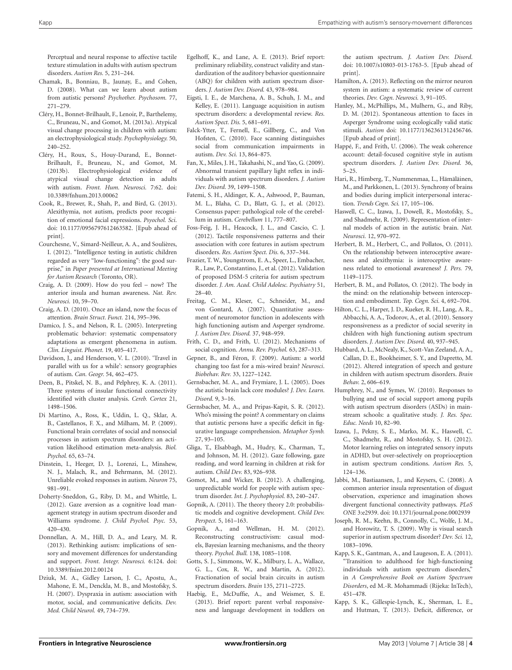Perceptual and neural response to affective tactile texture stimulation in adults with autism spectrum disorders. *Autism Res.* 5, 231–244.

- <span id="page-3-46"></span>Chamak, B., Bonniau, B., Jaunay, E., and Cohen, D. (2008). What can we learn about autism from autistic persons? *Psychother. Psychosom.* 77, 271–279.
- <span id="page-3-33"></span>Cléry, H., Bonnet-Brilhault, F., Lenoir, P., Barthelemy, C., Bruneau, N., and Gomot, M. (2013a). Atypical visual change processing in children with autism: an electrophysiological study. *Psychophysiology.* 50, 240–252.
- <span id="page-3-34"></span>Cléry, H., Roux, S., Houy-Durand, E., Bonnet-Brilhault, F., Bruneau, N., and Gomot, M. (2013b). Electrophysiological evidence of atypical visual change detection in adults with autism. *Front. Hum. Neurosci.* 7:62. doi: 10.3389/fnhum.2013.00062
- <span id="page-3-10"></span>Cook, R., Brewer, R., Shah, P., and Bird, G. (2013). Alexithymia, not autism, predicts poor recognition of emotional facial expressions. *Psyochol. Sci*. doi: 10.1177/0956797612463582. [Epub ahead of print].
- <span id="page-3-29"></span>Courchesne, V., Simard-Neilleur, A. A., and Soulières, I. (2012). "Intelligence testing in autistic children regarded as very "low-functioning": the good surprise," in *Paper presented at International Meeting for Autism Research* (Toronto, OR).
- <span id="page-3-6"></span>Craig, A. D. (2009). How do you feel – now? The anterior insula and human awareness. *Nat. Rev. Neurosci.* 10, 59–70.
- <span id="page-3-4"></span>Craig, A. D. (2010). Once an island, now the focus of attention. *Brain Struct. Funct.* 214, 395–396.
- <span id="page-3-44"></span>Damico, J. S., and Nelson, R. L. (2005). Interpreting problematic behavior: systematic compensatory adaptations as emergent phenomena in autism. *Clin. Linguist. Phonet.* 19, 405–417.
- <span id="page-3-47"></span>Davidson, J., and Henderson, V. L. (2010). 'Travel in parallel with us for a while': sensory geographies of autism. *Can. Geogr.* 54, 462–475.
- <span id="page-3-5"></span>Deen, B., Pitskel, N. B., and Pelphrey, K. A. (2011). Three systems of insular functional connectivity identified with cluster analysis. *Cereb. Cortex* 21, 1498–1506.
- <span id="page-3-7"></span>Di Martino, A., Ross, K., Uddin, L. Q., Sklar, A. B., Castellanos, F. X., and Milham, M. P. (2009). Functional brain correlates of social and nonsocial processes in autism spectrum disorders: an activation likelihood estimation meta-analysis. *Biol. Psychol.* 65, 63–74.
- <span id="page-3-40"></span>Dinstein, I., Heeger, D. J., Lorenzi, L., Minshew, N. J., Malach, R., and Behrmann, M. (2012). Unreliable evoked responses in autism. *Neuron* 75, 981–991.
- <span id="page-3-31"></span>Doherty-Sneddon, G., Riby, D. M., and Whittle, L. (2012). Gaze aversion as a cognitive load management strategy in autism spectrum disorder and Williams syndrome. *J. Child Psychol. Psyc.* 53, 420–430.
- <span id="page-3-18"></span>Donnellan, A. M., Hill, D. A., and Leary, M. R. (2013). Rethinking autism: implications of sensory and movement differences for understanding and support. *Front. Integr. Neurosci.* 6:124. doi: 10.3389/fnint.2012.00124
- <span id="page-3-22"></span>Dziuk, M. A., Gidley Larson, J. C., Apostu, A., Mahone, E. M., Denckla, M. B., and Mostofsky, S. H. (2007). Dyspraxia in autism: association with motor, social, and communicative deficits. *Dev. Med. Child Neurol.* 49, 734–739.
- <span id="page-3-35"></span>Egelhoff, K., and Lane, A. E. (2013). Brief report: preliminary reliability, construct validity and standardization of the auditory behavior questionnaire (ABQ) for children with autism spectrum disorders. *J. Autism Dev. Disord.* 43, 978–984.
- <span id="page-3-25"></span>Eigsti, I. E., de Marchena, A. B., Schuh, J. M., and Kelley, E. (2011). Language acquisition in autism spectrum disorders: a developmental review. *Res. Autism Spect. Dis.* 5, 681–691.
- <span id="page-3-36"></span>Falck-Ytter, T., Fernell, E., Gillberg, C., and Von Hofsten, C. (2010). Face scanning distinguishes social from communication impairments in autism. *Dev. Sci.* 13, 864–875.
- <span id="page-3-32"></span>Fan, X., Miles, J. H., Takahashi, N., and Yao, G. (2009). Abnormal transient papillary light reflex in individuals with autism spectrum disorders. *J. Autism Dev. Disord.* 39, 1499–1508.
- <span id="page-3-2"></span>Fatemi, S. H., Aldinger, K. A., Ashwood, P., Bauman, M. L., Blaha, C. D., Blatt, G. J., et al. (2012). Consensus paper: pathological role of the cerebellum in autism. *Cerebellum* 11, 777–807.
- <span id="page-3-12"></span>Foss-Feig, J. H., Heacock, J. L., and Cascio, C. J. (2012). Tactile responsiveness patterns and their association with core features in autism spectrum disorders. *Res. Autism Spect. Dis.* 6, 337–344.
- <span id="page-3-23"></span>Frazier, T. W., Youngstrom, E. A., Speer, L., Embacher, R., Law, P., Constantino, J., et al. (2012). Validation of proposed DSM-5 criteria for autism spectrum disorder. *J. Am. Acad. Child Adolesc. Psychiatry* 51, 28–40.
- <span id="page-3-39"></span>Freitag, C. M., Kleser, C., Schneider, M., and von Gontard, A. (2007). Quantitative assessment of neuromotor function in adolescents with high functioning autism and Asperger syndrome. *J. Autism Dev. Disord.* 37, 948–959.
- <span id="page-3-16"></span>Frith, C. D., and Frith, U. (2012). Mechanisms of social cognition. *Annu. Rev. Psychol.* 63, 287–313.
- <span id="page-3-19"></span>Gepner, B., and Féron, F. (2009). Autism: a world changing too fast for a mis-wired brain? *Neurosci*. *Biobehav. Rev.* 33, 1227–1242.
- <span id="page-3-15"></span>Gernsbacher, M. A., and Frymiare, J. L. (2005). Does the autistic brain lack core modules? *J. Dev. Learn. Disord.* 9, 3–16.
- <span id="page-3-24"></span>Gernsbacher, M. A., and Pripas-Kapit, S. R. (2012). Who's missing the point? A commentary on claims that autistic persons have a specific deficit in figurative language comprehension. *Metaphor Symb.* 27, 93–105.
- <span id="page-3-21"></span>Gliga, T., Elsabbagh, M., Hudry, K., Charman, T., and Johnson, M. H. (2012). Gaze following, gaze reading, and word learning in children at risk for autism. *Child Dev.* 83, 926–938.
- <span id="page-3-1"></span>Gomot, M., and Wicker, B. (2012). A challenging, unpredictable world for people with autism spectrum disorder. *Int. J. Psychophysiol.* 83, 240–247.
- <span id="page-3-13"></span>Gopnik, A. (2011). The theory theory 2.0: probabilistic models and cognitive development. *Child Dev. Perspect.* 5, 161–163.
- <span id="page-3-14"></span>Gopnik, A., and Wellman, H. M. (2012). Reconstructing constructivism: casual models, Bayesian learning mechanisms, and the theory theory. *Psychol. Bull.* 138, 1085–1108.
- <span id="page-3-0"></span>Gotts, S. J., Simmons, W. K., Milbury, L. A., Wallace, G. L., Cox, R. W., and Martin, A. (2012). Fractionation of social brain circuits in autism spectrum disorders. *Brain* 135, 2711–2725.
- <span id="page-3-45"></span>Haebig, E., McDuffie, A., and Weismer, S. E. (2013). Brief report: parent verbal responsiveness and language development in toddlers on

the autism spectrum. *J. Autism Dev. Disord*. doi: 10.1007/s10803-013-1763-5. [Epub ahead of print].

- <span id="page-3-3"></span>Hamilton, A. (2013). Reflecting on the mirror neuron system in autism: a systematic review of current theories. *Dev. Cogn. Neurosci.* 3, 91–105.
- <span id="page-3-20"></span>Hanley, M., McPhillips, M., Mulhern, G., and Riby, D. M. (2012). Spontaneous attention to faces in Asperger Syndrome using ecologically valid static stimuli. *Autism* doi: 10.1177/1362361312456746. [Epub ahead of print].
- <span id="page-3-30"></span>Happé, F., and Frith, U. (2006). The weak coherence account: detail-focused cognitive style in autism spectrum disorders. *J. Autism Dev. Disord.* 36, 5–25.
- <span id="page-3-41"></span>Hari, R., Himberg, T., Nummenmaa, L., Hämäläinen, M., and Parkkonen, L. (2013). Synchrony of brains and bodies during implicit interpersonal interaction. *Trends Cogn. Sci.* 17, 105–106.
- <span id="page-3-37"></span>Haswell, C. C., Izawa, J., Dowell, R., Mostofsky, S., and Shadmehr, R. (2009). Representation of internal models of action in the autistic brain. *Nat. Neurosci.* 12, 970–972.
- <span id="page-3-9"></span>Herbert, B. M., Herbert, C., and Pollatos, O. (2011). On the relationship between interoceptive awareness and alexithymia: is interoceptive awareness related to emotional awareness? *J. Pers.* 79, 1149–1175.
- <span id="page-3-8"></span>Herbert, B. M., and Pollatos, O. (2012). The body in the mind: on the relationship between interoception and embodiment. *Top. Cogn. Sci.* 4, 692–704.
- <span id="page-3-26"></span>Hilton, C. L., Harper, J. D., Kueker, R. H., Lang, A. R., Abbacchi, A. A., Todorov, A., et al. (2010). Sensory responsiveness as a predictor of social severity in children with high functioning autism spectrum disorders. *J. Autism Dev. Disord.* 40, 937–945.
- <span id="page-3-28"></span>Hubbard, A. L., McNealy, K., Scott-Van Zeeland, A. A., Callan, D. E., Bookheimer, S. Y., and Dapretto, M. (2012). Altered integration of speech and gesture in children with autism spectrum disorders. *Brain Behav.* 2, 606–619.
- <span id="page-3-42"></span>Humphrey, N., and Symes, W. (2010). Responses to bullying and use of social support among pupils with autism spectrum disorders (ASDs) in mainstream schools: a qualitative study. *J. Res. Spec. Educ. Needs* 10, 82–90.
- <span id="page-3-38"></span>Izawa, J., Pekny, S. E., Marko, M. K., Haswell, C. C., Shadmehr, R., and Mostofsky, S. H. (2012). Motor learning relies on integrated sensory inputs in ADHD, but over-selectively on proprioception in autism spectrum conditions. *Autism Res.* 5, 124–136.
- <span id="page-3-11"></span>Jabbi, M., Bastiaansen, J., and Keysers, C. (2008). A common anterior insula representation of disgust observation, experience and imagination shows divergent functional connectivity pathways. *PLoS ONE* 3:e2939. doi: 10.1371/journal.pone.0002939
- <span id="page-3-27"></span>Joseph, R. M., Keehn, B., Connolly, C., Wolfe, J. M., and Horowitz, T. S. (2009). Why is visual search superior in autism spectrum disorder? *Dev. Sci.* 12, 1083–1096.
- <span id="page-3-17"></span>Kapp, S. K., Gantman, A., and Laugeson, E. A. (2011). "Transition to adulthood for high-functioning individuals with autism spectrum disorders," in *A Comprehensive Book on Autism Spectrum Disorders*, ed M.-R. Mohammadi (Rijeka: InTech), 451–478.
- <span id="page-3-43"></span>Kapp, S. K., Gillespie-Lynch, K., Sherman, L. E., and Hutman, T. (2013). Deficit, difference, or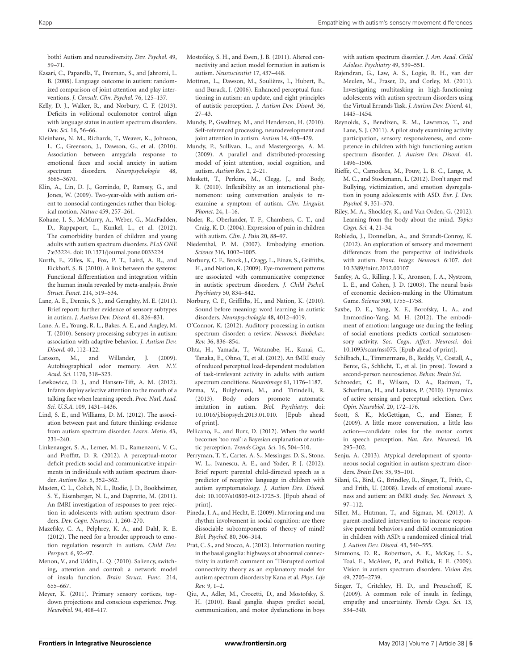both? Autism and neurodiversity. *Dev. Psychol.* 49, 59–71.

- <span id="page-4-44"></span>Kasari, C., Paparella, T., Freeman, S., and Jahromi, L. B. (2008). Language outcome in autism: randomized comparison of joint attention and play interventions. *J. Consult. Clin. Psychol.* 76, 125–137.
- <span id="page-4-15"></span>Kelly, D. J., Walker, R., and Norbury, C. F. (2013). Deficits in volitional oculomotor control align with language status in autism spectrum disorders. *Dev. Sci.* 16, 56–66.
- <span id="page-4-29"></span>Kleinhans, N. M., Richards, T., Weaver, K., Johnson, L. C., Greenson, J., Dawson, G., et al. (2010). Association between amygdala response to emotional faces and social anxiety in autism spectrum disorders. *Neuropsychologia* 48, 3665–3670.
- <span id="page-4-33"></span>Klin, A., Lin, D. J., Gorrindo, P., Ramsey, G., and Jones, W. (2009). Two-year-olds with autism orient to nonsocial contingencies rather than biological motion. *Nature* 459, 257–261.
- <span id="page-4-42"></span>Kohane, I. S., McMurry, A., Weber, G., MacFadden, D., Rappaport, L., Kunkel, L., et al. (2012). The comorbidity burden of children and young adults with autism spectrum disorders. *PLoS ONE* 7:e33224. doi: 10.1371/journal.pone.0033224
- <span id="page-4-4"></span>Kurth, F., Zilles, K., Fox, P. T., Laird, A. R., and Eickhoff, S. B. (2010). A link between the systems: Functional differentiation and integration within the human insula revealed by meta-analysis. *Brain Struct. Funct.* 214, 519–534.
- <span id="page-4-23"></span>Lane, A. E., Dennis, S. J., and Geraghty, M. E. (2011). Brief report: further evidence of sensory subtypes in autism. *J. Autism Dev. Disord.* 41, 826–831.
- <span id="page-4-31"></span>Lane, A. E., Young, R. L., Baker, A. E., and Angley, M. T. (2010). Sensory processing subtypes in autism: association with adaptive behavior. *J. Autism Dev. Disord.* 40, 112–122.
- <span id="page-4-21"></span>Larsson, M., and Willander, J. (2009). Autobiographical odor memory. *Ann. N.Y. Acad. Sci.* 1170, 318–323.
- <span id="page-4-35"></span>Lewkowicz, D. J., and Hansen-Tift, A. M. (2012). Infants deploy selective attention to the mouth of a talking face when learning speech. *Proc. Natl. Acad. Sci. U.S.A.* 109, 1431–1436.
- <span id="page-4-25"></span>Lind, S. E., and Williams, D. M. (2012). The association between past and future thinking: evidence from autism spectrum disorder. *Learn. Motiv.* 43, 231–240.
- <span id="page-4-36"></span>Linkenauger, S. A., Lerner, M. D., Ramenzoni, V. C., and Proffitt, D. R. (2012). A perceptual-motor deficit predicts social and communicative impairments in individuals with autism spectrum disorder. *Autism Res.* 5, 352–362.
- <span id="page-4-10"></span>Masten, C. L., Colich, N. L., Rudie, J. D., Bookheimer, S. Y., Eisenberger, N. I., and Dapretto, M. (2011). An fMRI investigation of responses to peer rejection in adolescents with autism spectrum disorders. *Dev. Cogn. Neurosci.* 1, 260–270.
- <span id="page-4-20"></span>Mazefsky, C. A., Pelphrey, K. A., and Dahl, R. E. (2012). The need for a broader approach to emotion regulation research in autism. *Child Dev. Perspect.* 6, 92–97.
- <span id="page-4-11"></span>Menon, V., and Uddin, L. Q. (2010). Saliency, switching, attention and control: a network model of insula function. *Brain Struct. Func.* 214, 655–667.
- <span id="page-4-38"></span>Meyer, K. (2011). Primary sensory cortices, topdown projections and conscious experience. *Prog. Neurobiol.* 94, 408–417.
- <span id="page-4-0"></span>Mostofsky, S. H., and Ewen, J. B. (2011). Altered connectivity and action model formation in autism is autism. *Neuroscientist* 17, 437–448.
- <span id="page-4-27"></span>Mottron, L., Dawson, M., Soulières, I., Hubert, B., and Burack, J. (2006). Enhanced perceptual functioning in autism: an update, and eight principles of autistic perception. *J. Autism Dev. Disord.* 36, 27–43.
- <span id="page-4-6"></span>Mundy, P., Gwaltney, M., and Henderson, H. (2010). Self-referenced processing, neurodevelopment and joint attention in autism. *Autism* 14, 408–429.
- <span id="page-4-14"></span>Mundy, P., Sullivan, L., and Mastergeorge, A. M. (2009). A parallel and distributed-processing model of joint attention, social cognition, and autism. *Autism Res.* 2, 2–21.
- <span id="page-4-43"></span>Muskett, T., Perkins, M., Clegg, J., and Body, R. (2010). Inflexibility as an interactional phenomenon: using conversation analysis to reexamine a symptom of autism. *Clin. Linguist. Phonet.* 24, 1–16.
- <span id="page-4-5"></span>Nader, R., Oberlander, T. F., Chambers, C. T., and Craig, K. D. (2004). Expression of pain in children with autism. *Clin. J. Pain* 20, 88–97.
- <span id="page-4-19"></span>Niedenthal, P. M. (2007). Embodying emotion. *Science* 316, 1002–1005.
- <span id="page-4-34"></span>Norbury, C. F., Brock, J., Cragg, L., Einav, S., Griffiths, H., and Nation, K. (2009). Eye-movement patterns are associated with communicative competence in autistic spectrum disorders. *J. Child Pschol. Psychiatry* 50, 834–842.
- <span id="page-4-32"></span>Norbury, C. F., Griffiths, H., and Nation, K. (2010). Sound before meaning: word learning in autistic disorders. *Neuropsychologia* 48, 4012–4019.
- <span id="page-4-30"></span>O'Connor, K. (2012). Auditory processing in autism spectrum disorder: a review. *Neurosci. Biobehav. Rev.* 36, 836–854.
- <span id="page-4-26"></span>Ohta, H., Yamada, T., Watanabe, H., Kanai, C., Tanaka, E., Ohno, T., et al. (2012). An fMRI study of reduced perceptual load-dependent modulation of task-irrelevant activity in adults with autism spectrum conditions. *Neuroimage* 61, 1176–1187.
- <span id="page-4-22"></span>Parma, V., Bulgheroni, M., and Tirindelli, R. (2013). Body odors promote automatic imitation in autism. *Biol. Psychiatry.* doi: 10.1016/j.biopsych.2013.01.010. [Epub ahead of print].
- <span id="page-4-39"></span>Pellicano, E., and Burr, D. (2012). When the world becomes 'too real': a Bayesian explanation of autistic perception. *Trends Cogn. Sci.* 16, 504–510.
- <span id="page-4-45"></span>Perryman, T. Y., Carter, A. S., Messinger, D. S., Stone, W. L., Ivanescu, A. E., and Yoder, P. J. (2012). Brief report: parental child-directed speech as a predictor of receptive language in children with autism symptomatology. *J. Autism Dev. Disord.* doi: 10.1007/s10803-012-1725-3. [Epub ahead of print].
- <span id="page-4-13"></span>Pineda, J. A., and Hecht, E. (2009). Mirroring and mu rhythm involvement in social cognition: are there dissociable subcomponents of theory of mind? *Biol. Psychol.* 80, 306–314.
- <span id="page-4-2"></span>Prat, C. S., and Stocco, A. (2012). Information routing in the basal ganglia: highways ot abnormal connectivity in autism?: comment on "Disrupted cortical connectivity theory as an explanatory model for autism spectrum disorders by Kana et al. *Phys. Life Rev.* 9, 1–2.
- <span id="page-4-1"></span>Qiu, A., Adler, M., Crocetti, D., and Mostofsky, S. H. (2010). Basal ganglia shapes predict social, communication, and motor dysfunctions in boys

with autism spectrum disorder. *J. Am. Acad. Child Adolesc. Psychiatry* 49, 539–551.

- <span id="page-4-24"></span>Rajendran, G., Law, A. S., Logie, R. H., van der Meulen, M., Fraser, D., and Corley, M. (2011). Investigating multitasking in high-functioning adolescents with autism spectrum disorders using the Virtual Errands Task. *J. Autism Dev. Disord.* 41, 1445–1454.
- <span id="page-4-18"></span>Reynolds, S., Bendixen, R. M., Lawrence, T., and Lane, S. J. (2011). A pilot study examining activity participation, sensory responsiveness, and competence in children with high functioning autism spectrum disorder. *J. Autism Dev. Disord.* 41, 1496–1506.
- <span id="page-4-41"></span>Rieffe, C., Camodeca, M., Pouw, L. B. C., Lange, A. M. C., and Stockmann, L. (2012). Don't anger me! Bullying, victimization, and emotion dysregulation in young adolescents with ASD. *Eur. J. Dev. Psychol.* 9, 351–370.
- <span id="page-4-17"></span>Riley, M. A., Shockley, K., and Van Orden, G. (2012). Learning from the body about the mind. *Topics Cogn. Sci.* 4, 21–34.
- <span id="page-4-47"></span>Robledo, J., Donnellan, A., and Strandt-Conroy, K. (2012). An exploration of sensory and movement differences from the perspective of individuals with autism. *Front. Integr. Neurosci.* 6:107. doi: 10.3389/fnint.2012.00107
- <span id="page-4-9"></span>Sanfey, A. G., Rilling, J. K., Aronson, J. A., Nystrom, L. E., and Cohen, J. D. (2003). The neural basis of economic decision-making in the Ultimatum Game. *Science* 300, 1755–1758.
- <span id="page-4-8"></span>Saxbe, D. E., Yang, X. F., Borofsky, L. A., and Immordino-Yang, M. H. (2012). The embodiment of emotion: language use during the feeling of social emotions predicts cortical somatosensory activity. *Soc. Cogn. Affect. Neurosci.* doi: 10.1093/scan/nss075. [Epub ahead of print].
- <span id="page-4-40"></span>Schilbach, L., Timmermans, B., Reddy, V., Costall, A., Bente, G., Schlicht, T., et al. (in press). Toward a second-person neuroscience. *Behav. Brain Sci.*
- <span id="page-4-37"></span>Schroeder, C. E., Wilson, D. A., Radman, T., Scharfman, H., and Lakatos, P. (2010). Dynamics of active sensing and perceptual selection. *Curr. Opin. Neurobiol.* 20, 172–176.
- <span id="page-4-3"></span>Scott, S. K., McGettigan, C., and Eisner, F. (2009). A little more conversation, a little less action—candidate roles for the motor cortex in speech perception. *Nat. Rev. Neurosci.* 10, 295–302.
- <span id="page-4-16"></span>Senju, A. (2013). Atypical development of spontaneous social cognition in autism spectrum disorders. *Brain Dev.* 35, 95–101.
- <span id="page-4-7"></span>Silani, G., Bird, G., Brindley, R., Singer, T., Frith, C., and Frith, U. (2008). Levels of emotional awareness and autism: an fMRI study. *Soc. Neurosci.* 3, 97–112.
- <span id="page-4-46"></span>Siller, M., Hutman, T., and Sigman, M. (2013). A parent-mediated intervention to increase responsive parental behaviors and child communication in children with ASD: a randomized clinical trial. *J. Autism Dev. Disord.* 43, 540–555.
- <span id="page-4-28"></span>Simmons, D. R., Robertson, A. E., McKay, L. S., Toal, E., McAleer, P., and Pollick, F. E. (2009). Vision in autism spectrum disorders. *Vision Res.* 49, 2705–2739.
- <span id="page-4-12"></span>Singer, T., Critchley, H. D., and Preuschoff, K. (2009). A common role of insula in feelings, empathy and uncertainty. *Trends Cogn. Sci.* 13, 334–340.